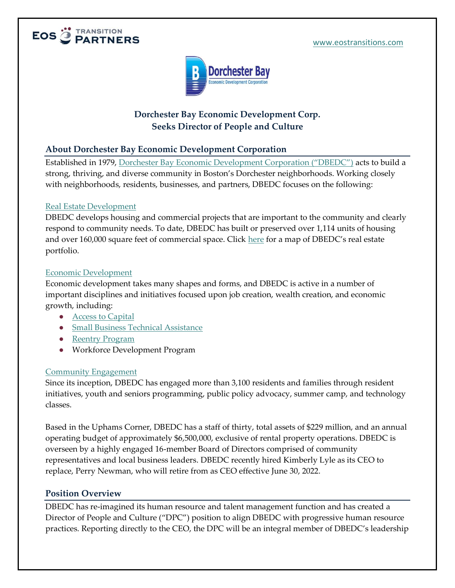



## **Dorchester Bay Economic Development Corp. Seeks Director of People and Culture**

### **About Dorchester Bay Economic Development Corporation**

Established in 1979, Dorchester Bay Economic [Development Corporation \("DBEDC"\)](https://www.dbedc.org/) acts to build a strong, thriving, and diverse community in Boston's Dorchester neighborhoods. Working closely with neighborhoods, residents, businesses, and partners, DBEDC focuses on the following:

#### [Real Estate Development](https://www.dbedc.org/real-estate-development/)

DBEDC develops housing and commercial projects that are important to the community and clearly respond to community needs. To date, DBEDC has built or preserved over 1,114 units of housing and over 160,000 square feet of commercial space. Click [here](https://www.dbedc.org/real-estate-development/full-width-map/) for a map of DBEDC's real estate portfolio.

#### [Economic Development](https://www.dbedc.org/economic-development/)

Economic development takes many shapes and forms, and DBEDC is active in a number of important disciplines and initiatives focused upon job creation, wealth creation, and economic growth, including:

- [Access to Capital](https://dorchesterbayloans.org/loan-options/?_ga=2.199437934.1949869127.1639508785-382265846.1638196153)
- [Small Business Technical Assistance](https://dorchesterbayloans.org/technical-assistance/?_ga=2.208218578.1949869127.1639508785-382265846.1638196153)
- [Reentry Program](https://www.dbedc.org/economic-development/reentry-program/)
- Workforce Development Program

#### [Community Engagement](https://www.dbedc.org/community-engagement/)

Since its inception, DBEDC has engaged more than 3,100 residents and families through resident initiatives, youth and seniors programming, public policy advocacy, summer camp, and technology classes.

Based in the Uphams Corner, DBEDC has a staff of thirty, total assets of \$229 million, and an annual operating budget of approximately \$6,500,000, exclusive of rental property operations. DBEDC is overseen by a highly engaged 16-member Board of Directors comprised of community representatives and local business leaders. DBEDC recently hired Kimberly Lyle as its CEO to replace, Perry Newman, who will retire from as CEO effective June 30, 2022.

#### **Position Overview**

DBEDC has re-imagined its human resource and talent management function and has created a Director of People and Culture ("DPC") position to align DBEDC with progressive human resource practices. Reporting directly to the CEO, the DPC will be an integral member of DBEDC's leadership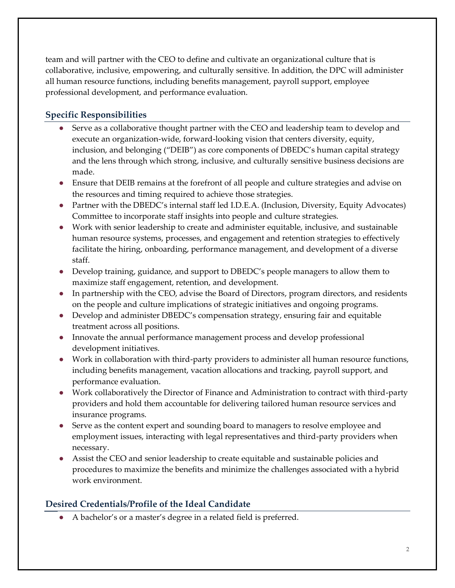team and will partner with the CEO to define and cultivate an organizational culture that is collaborative, inclusive, empowering, and culturally sensitive. In addition, the DPC will administer all human resource functions, including benefits management, payroll support, employee professional development, and performance evaluation.

# **Specific Responsibilities**

- Serve as a collaborative thought partner with the CEO and leadership team to develop and execute an organization-wide, forward-looking vision that centers diversity, equity, inclusion, and belonging ("DEIB") as core components of DBEDC's human capital strategy and the lens through which strong, inclusive, and culturally sensitive business decisions are made.
- Ensure that DEIB remains at the forefront of all people and culture strategies and advise on the resources and timing required to achieve those strategies.
- Partner with the DBEDC's internal staff led I.D.E.A. (Inclusion, Diversity, Equity Advocates) Committee to incorporate staff insights into people and culture strategies.
- Work with senior leadership to create and administer equitable, inclusive, and sustainable human resource systems, processes, and engagement and retention strategies to effectively facilitate the hiring, onboarding, performance management, and development of a diverse staff.
- Develop training, guidance, and support to DBEDC's people managers to allow them to maximize staff engagement, retention, and development.
- In partnership with the CEO, advise the Board of Directors, program directors, and residents on the people and culture implications of strategic initiatives and ongoing programs.
- Develop and administer DBEDC's compensation strategy, ensuring fair and equitable treatment across all positions.
- Innovate the annual performance management process and develop professional development initiatives.
- Work in collaboration with third-party providers to administer all human resource functions, including benefits management, vacation allocations and tracking, payroll support, and performance evaluation.
- Work collaboratively the Director of Finance and Administration to contract with third-party providers and hold them accountable for delivering tailored human resource services and insurance programs.
- Serve as the content expert and sounding board to managers to resolve employee and employment issues, interacting with legal representatives and third-party providers when necessary.
- Assist the CEO and senior leadership to create equitable and sustainable policies and procedures to maximize the benefits and minimize the challenges associated with a hybrid work environment.

### **Desired Credentials/Profile of the Ideal Candidate**

● A bachelor's or a master's degree in a related field is preferred.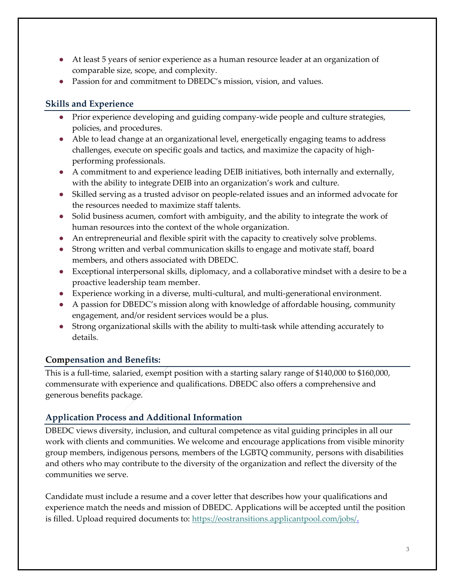- At least 5 years of senior experience as a human resource leader at an organization of comparable size, scope, and complexity.
- Passion for and commitment to DBEDC's mission, vision, and values.

# **Skills and Experience**

- Prior experience developing and guiding company-wide people and culture strategies, policies, and procedures.
- Able to lead change at an organizational level, energetically engaging teams to address challenges, execute on specific goals and tactics, and maximize the capacity of highperforming professionals.
- A commitment to and experience leading DEIB initiatives, both internally and externally, with the ability to integrate DEIB into an organization's work and culture.
- Skilled serving as a trusted advisor on people-related issues and an informed advocate for the resources needed to maximize staff talents.
- Solid business acumen, comfort with ambiguity, and the ability to integrate the work of human resources into the context of the whole organization.
- An entrepreneurial and flexible spirit with the capacity to creatively solve problems.
- Strong written and verbal communication skills to engage and motivate staff, board members, and others associated with DBEDC.
- Exceptional interpersonal skills, diplomacy, and a collaborative mindset with a desire to be a proactive leadership team member.
- Experience working in a diverse, multi-cultural, and multi-generational environment.
- A passion for DBEDC's mission along with knowledge of affordable housing, community engagement, and/or resident services would be a plus.
- Strong organizational skills with the ability to multi-task while attending accurately to details.

### **Compensation and Benefits:**

This is a full-time, salaried, exempt position with a starting salary range of \$140,000 to \$160,000, commensurate with experience and qualifications. DBEDC also offers a comprehensive and generous benefits package.

# **Application Process and Additional Information**

DBEDC views diversity, inclusion, and cultural competence as vital guiding principles in all our work with clients and communities. We welcome and encourage applications from visible minority group members, indigenous persons, members of the LGBTQ community, persons with disabilities and others who may contribute to the diversity of the organization and reflect the diversity of the communities we serve.

Candidate must include a resume and a cover letter that describes how your qualifications and experience match the needs and mission of DBEDC. Applications will be accepted until the position is filled. Upload required documents to: [https://eostransitions.applicantpool.com/jobs/.](https://eostransitions.applicantpool.com/jobs/)